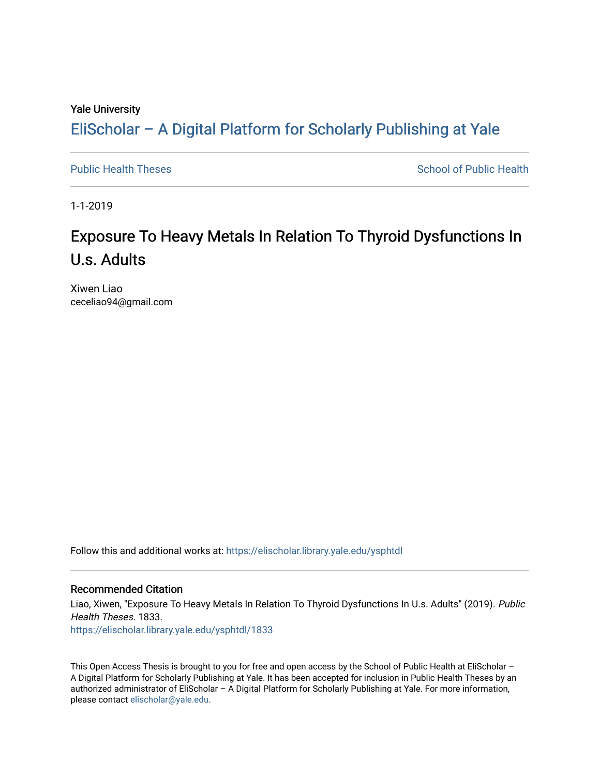### Yale University

# [EliScholar – A Digital Platform for Scholarly Publishing at Yale](https://elischolar.library.yale.edu/)

[Public Health Theses](https://elischolar.library.yale.edu/ysphtdl) [School of Public Health](https://elischolar.library.yale.edu/ysph) Theses School of Public Health

1-1-2019

# Exposure To Heavy Metals In Relation To Thyroid Dysfunctions In U.s. Adults

Xiwen Liao ceceliao94@gmail.com

Follow this and additional works at: [https://elischolar.library.yale.edu/ysphtdl](https://elischolar.library.yale.edu/ysphtdl?utm_source=elischolar.library.yale.edu%2Fysphtdl%2F1833&utm_medium=PDF&utm_campaign=PDFCoverPages) 

#### Recommended Citation

Liao, Xiwen, "Exposure To Heavy Metals In Relation To Thyroid Dysfunctions In U.s. Adults" (2019). Public Health Theses. 1833. [https://elischolar.library.yale.edu/ysphtdl/1833](https://elischolar.library.yale.edu/ysphtdl/1833?utm_source=elischolar.library.yale.edu%2Fysphtdl%2F1833&utm_medium=PDF&utm_campaign=PDFCoverPages) 

This Open Access Thesis is brought to you for free and open access by the School of Public Health at EliScholar -A Digital Platform for Scholarly Publishing at Yale. It has been accepted for inclusion in Public Health Theses by an authorized administrator of EliScholar – A Digital Platform for Scholarly Publishing at Yale. For more information, please contact [elischolar@yale.edu](mailto:elischolar@yale.edu).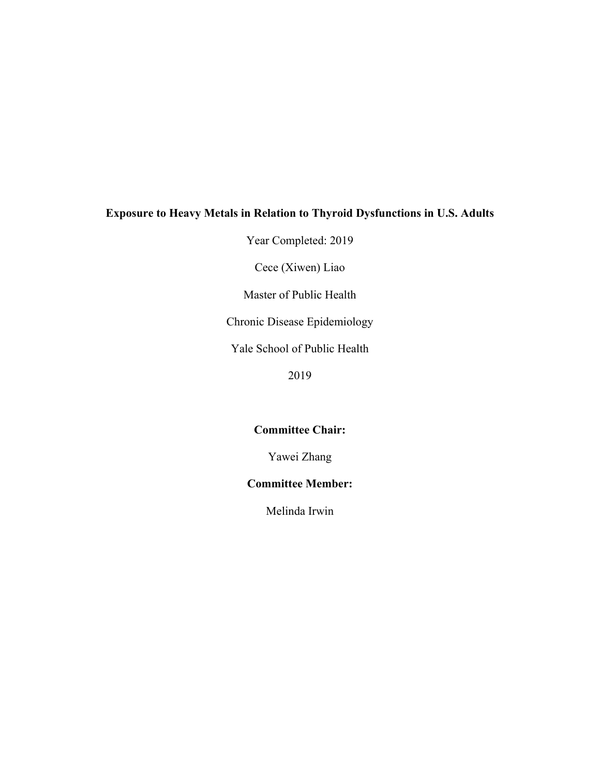### **Exposure to Heavy Metals in Relation to Thyroid Dysfunctions in U.S. Adults**

Year Completed: 2019

Cece (Xiwen) Liao

Master of Public Health

Chronic Disease Epidemiology

Yale School of Public Health

2019

### **Committee Chair:**

Yawei Zhang

### **Committee Member:**

Melinda Irwin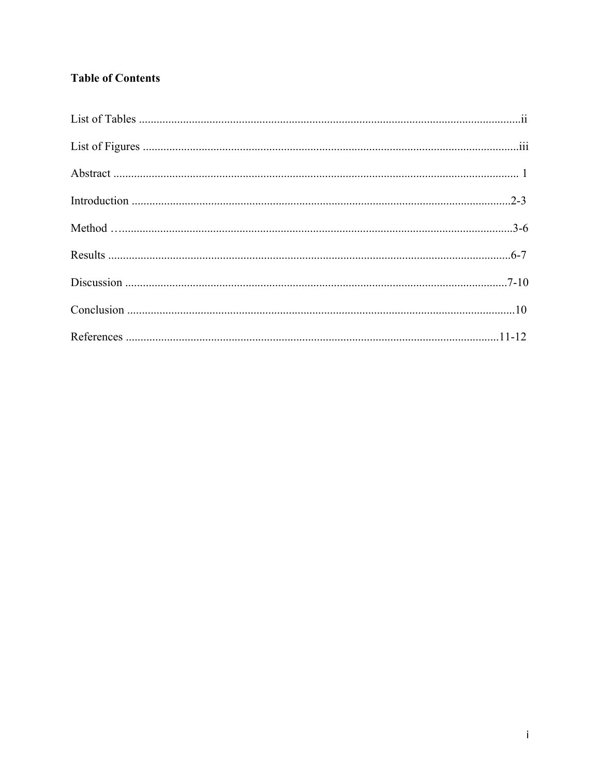## **Table of Contents**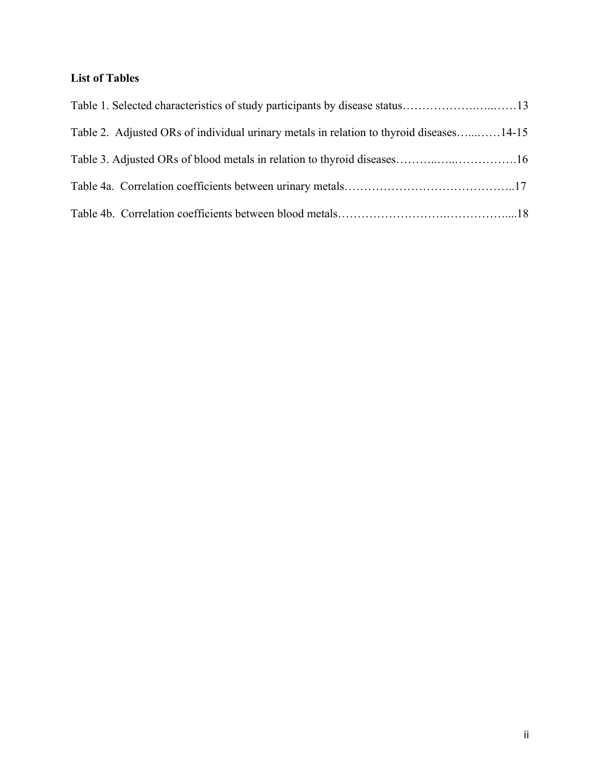## **List of Tables**

| Table 1. Selected characteristics of study participants by disease status13             |  |
|-----------------------------------------------------------------------------------------|--|
| Table 2. Adjusted ORs of individual urinary metals in relation to thyroid diseases14-15 |  |
|                                                                                         |  |
|                                                                                         |  |
|                                                                                         |  |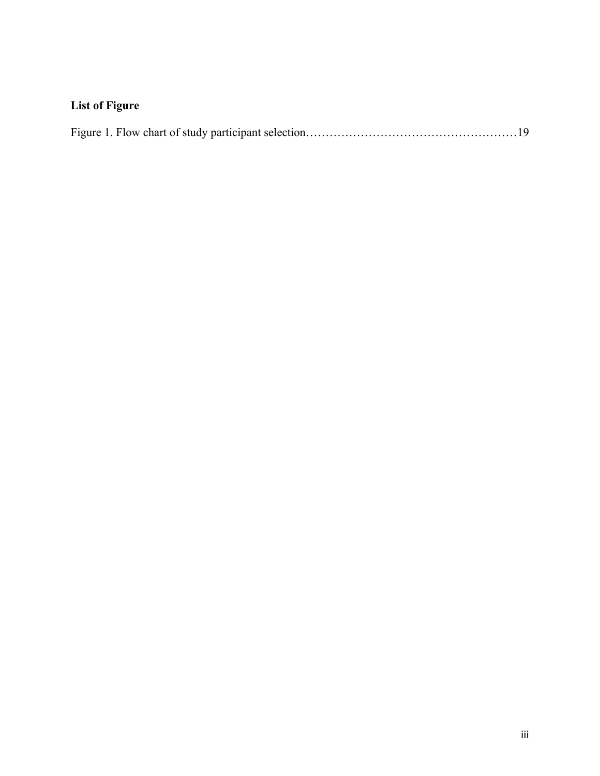# **List of Figure**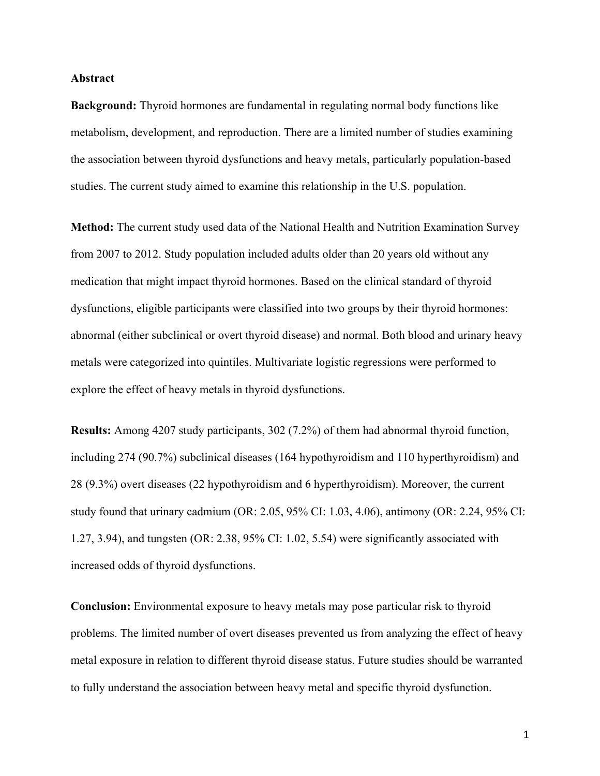### **Abstract**

**Background:** Thyroid hormones are fundamental in regulating normal body functions like metabolism, development, and reproduction. There are a limited number of studies examining the association between thyroid dysfunctions and heavy metals, particularly population-based studies. The current study aimed to examine this relationship in the U.S. population.

**Method:** The current study used data of the National Health and Nutrition Examination Survey from 2007 to 2012. Study population included adults older than 20 years old without any medication that might impact thyroid hormones. Based on the clinical standard of thyroid dysfunctions, eligible participants were classified into two groups by their thyroid hormones: abnormal (either subclinical or overt thyroid disease) and normal. Both blood and urinary heavy metals were categorized into quintiles. Multivariate logistic regressions were performed to explore the effect of heavy metals in thyroid dysfunctions.

**Results:** Among 4207 study participants, 302 (7.2%) of them had abnormal thyroid function, including 274 (90.7%) subclinical diseases (164 hypothyroidism and 110 hyperthyroidism) and 28 (9.3%) overt diseases (22 hypothyroidism and 6 hyperthyroidism). Moreover, the current study found that urinary cadmium (OR: 2.05, 95% CI: 1.03, 4.06), antimony (OR: 2.24, 95% CI: 1.27, 3.94), and tungsten (OR: 2.38, 95% CI: 1.02, 5.54) were significantly associated with increased odds of thyroid dysfunctions.

**Conclusion:** Environmental exposure to heavy metals may pose particular risk to thyroid problems. The limited number of overt diseases prevented us from analyzing the effect of heavy metal exposure in relation to different thyroid disease status. Future studies should be warranted to fully understand the association between heavy metal and specific thyroid dysfunction.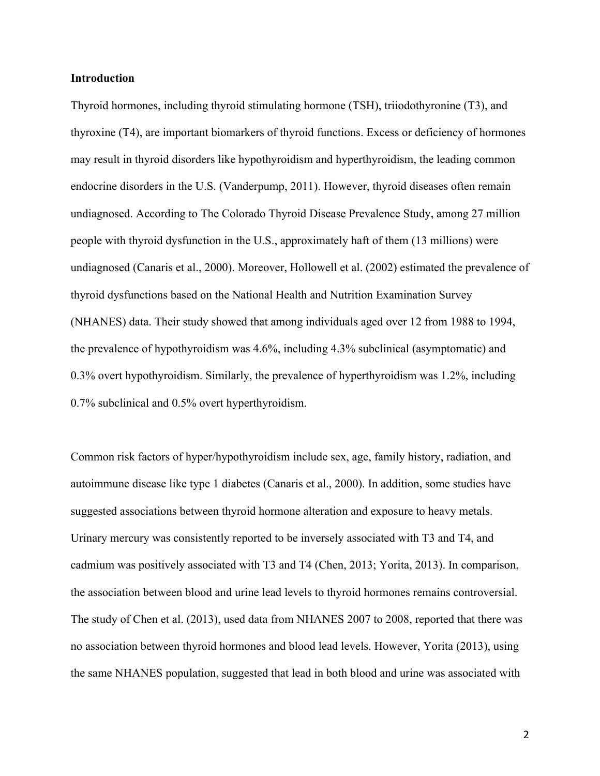### **Introduction**

Thyroid hormones, including thyroid stimulating hormone (TSH), triiodothyronine (T3), and thyroxine (T4), are important biomarkers of thyroid functions. Excess or deficiency of hormones may result in thyroid disorders like hypothyroidism and hyperthyroidism, the leading common endocrine disorders in the U.S. (Vanderpump, 2011). However, thyroid diseases often remain undiagnosed. According to The Colorado Thyroid Disease Prevalence Study, among 27 million people with thyroid dysfunction in the U.S., approximately haft of them (13 millions) were undiagnosed (Canaris et al., 2000). Moreover, Hollowell et al. (2002) estimated the prevalence of thyroid dysfunctions based on the National Health and Nutrition Examination Survey (NHANES) data. Their study showed that among individuals aged over 12 from 1988 to 1994, the prevalence of hypothyroidism was 4.6%, including 4.3% subclinical (asymptomatic) and 0.3% overt hypothyroidism. Similarly, the prevalence of hyperthyroidism was 1.2%, including 0.7% subclinical and 0.5% overt hyperthyroidism.

Common risk factors of hyper/hypothyroidism include sex, age, family history, radiation, and autoimmune disease like type 1 diabetes (Canaris et al., 2000). In addition, some studies have suggested associations between thyroid hormone alteration and exposure to heavy metals. Urinary mercury was consistently reported to be inversely associated with T3 and T4, and cadmium was positively associated with T3 and T4 (Chen, 2013; Yorita, 2013). In comparison, the association between blood and urine lead levels to thyroid hormones remains controversial. The study of Chen et al. (2013), used data from NHANES 2007 to 2008, reported that there was no association between thyroid hormones and blood lead levels. However, Yorita (2013), using the same NHANES population, suggested that lead in both blood and urine was associated with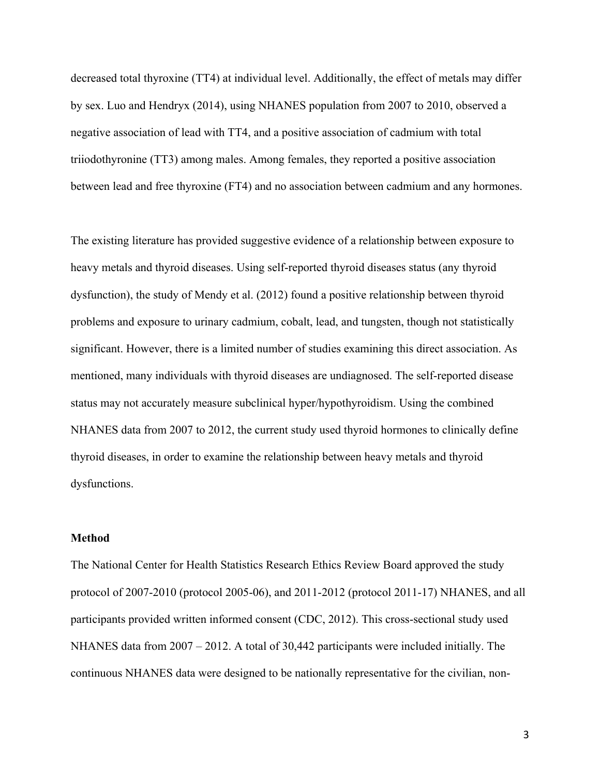decreased total thyroxine (TT4) at individual level. Additionally, the effect of metals may differ by sex. Luo and Hendryx (2014), using NHANES population from 2007 to 2010, observed a negative association of lead with TT4, and a positive association of cadmium with total triiodothyronine (TT3) among males. Among females, they reported a positive association between lead and free thyroxine (FT4) and no association between cadmium and any hormones.

The existing literature has provided suggestive evidence of a relationship between exposure to heavy metals and thyroid diseases. Using self-reported thyroid diseases status (any thyroid dysfunction), the study of Mendy et al. (2012) found a positive relationship between thyroid problems and exposure to urinary cadmium, cobalt, lead, and tungsten, though not statistically significant. However, there is a limited number of studies examining this direct association. As mentioned, many individuals with thyroid diseases are undiagnosed. The self-reported disease status may not accurately measure subclinical hyper/hypothyroidism. Using the combined NHANES data from 2007 to 2012, the current study used thyroid hormones to clinically define thyroid diseases, in order to examine the relationship between heavy metals and thyroid dysfunctions.

### **Method**

The National Center for Health Statistics Research Ethics Review Board approved the study protocol of 2007-2010 (protocol 2005-06), and 2011-2012 (protocol 2011-17) NHANES, and all participants provided written informed consent (CDC, 2012). This cross-sectional study used NHANES data from 2007 – 2012. A total of 30,442 participants were included initially. The continuous NHANES data were designed to be nationally representative for the civilian, non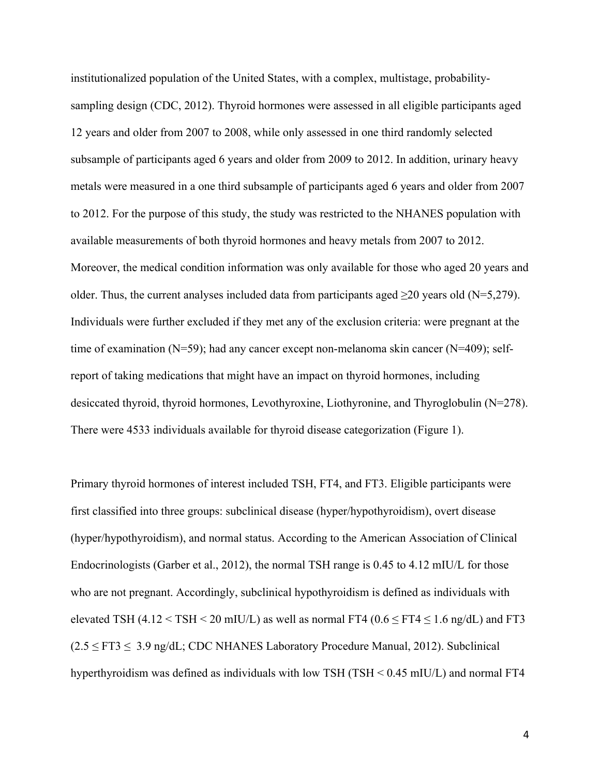institutionalized population of the United States, with a complex, multistage, probabilitysampling design (CDC, 2012). Thyroid hormones were assessed in all eligible participants aged 12 years and older from 2007 to 2008, while only assessed in one third randomly selected subsample of participants aged 6 years and older from 2009 to 2012. In addition, urinary heavy metals were measured in a one third subsample of participants aged 6 years and older from 2007 to 2012. For the purpose of this study, the study was restricted to the NHANES population with available measurements of both thyroid hormones and heavy metals from 2007 to 2012. Moreover, the medical condition information was only available for those who aged 20 years and older. Thus, the current analyses included data from participants aged  $\geq 20$  years old (N=5,279). Individuals were further excluded if they met any of the exclusion criteria: were pregnant at the time of examination  $(N=59)$ ; had any cancer except non-melanoma skin cancer  $(N=409)$ ; selfreport of taking medications that might have an impact on thyroid hormones, including desiccated thyroid, thyroid hormones, Levothyroxine, Liothyronine, and Thyroglobulin (N=278). There were 4533 individuals available for thyroid disease categorization (Figure 1).

Primary thyroid hormones of interest included TSH, FT4, and FT3. Eligible participants were first classified into three groups: subclinical disease (hyper/hypothyroidism), overt disease (hyper/hypothyroidism), and normal status. According to the American Association of Clinical Endocrinologists (Garber et al., 2012), the normal TSH range is 0.45 to 4.12 mIU/L for those who are not pregnant. Accordingly, subclinical hypothyroidism is defined as individuals with elevated TSH  $(4.12 \leq TSH \leq 20 \text{ mU/L})$  as well as normal FT4  $(0.6 \leq FT4 \leq 1.6 \text{ ng/dL})$  and FT3  $(2.5 \leq FT3 \leq 3.9 \text{ ng/dL};$  CDC NHANES Laboratory Procedure Manual, 2012). Subclinical hyperthyroidism was defined as individuals with low TSH (TSH < 0.45 mIU/L) and normal FT4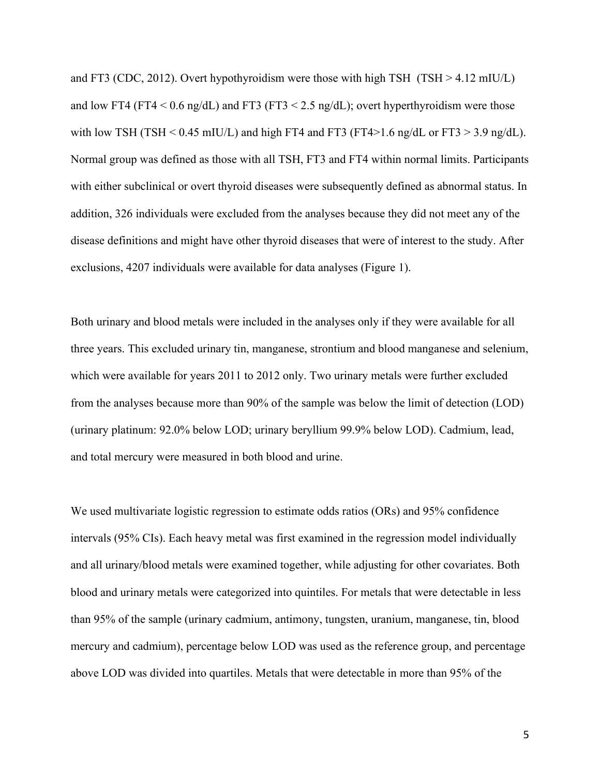and FT3 (CDC, 2012). Overt hypothyroidism were those with high TSH (TSH > 4.12 mIU/L) and low FT4 (FT4  $\leq$  0.6 ng/dL) and FT3 (FT3  $\leq$  2.5 ng/dL); overt hyperthyroidism were those with low TSH (TSH  $< 0.45$  mIU/L) and high FT4 and FT3 (FT4 $> 1.6$  ng/dL or FT3 $> 3.9$  ng/dL). Normal group was defined as those with all TSH, FT3 and FT4 within normal limits. Participants with either subclinical or overt thyroid diseases were subsequently defined as abnormal status. In addition, 326 individuals were excluded from the analyses because they did not meet any of the disease definitions and might have other thyroid diseases that were of interest to the study. After exclusions, 4207 individuals were available for data analyses (Figure 1).

Both urinary and blood metals were included in the analyses only if they were available for all three years. This excluded urinary tin, manganese, strontium and blood manganese and selenium, which were available for years 2011 to 2012 only. Two urinary metals were further excluded from the analyses because more than 90% of the sample was below the limit of detection (LOD) (urinary platinum: 92.0% below LOD; urinary beryllium 99.9% below LOD). Cadmium, lead, and total mercury were measured in both blood and urine.

We used multivariate logistic regression to estimate odds ratios (ORs) and 95% confidence intervals (95% CIs). Each heavy metal was first examined in the regression model individually and all urinary/blood metals were examined together, while adjusting for other covariates. Both blood and urinary metals were categorized into quintiles. For metals that were detectable in less than 95% of the sample (urinary cadmium, antimony, tungsten, uranium, manganese, tin, blood mercury and cadmium), percentage below LOD was used as the reference group, and percentage above LOD was divided into quartiles. Metals that were detectable in more than 95% of the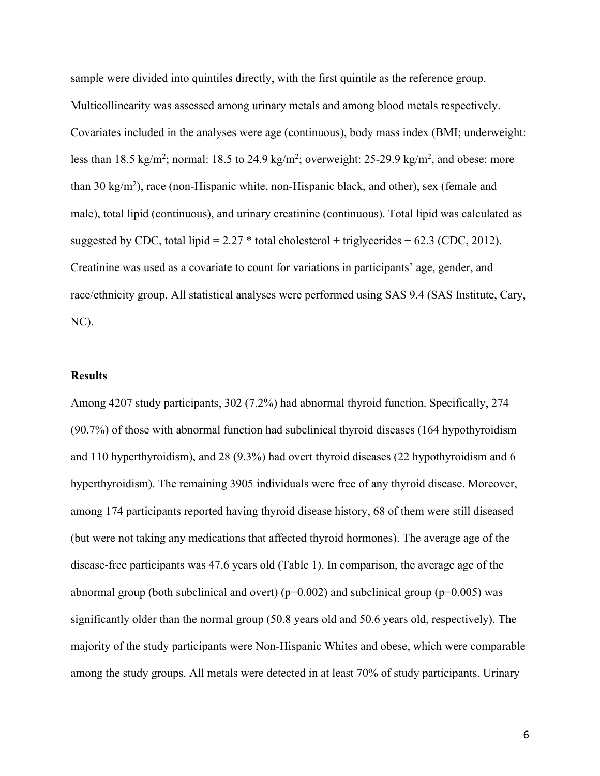sample were divided into quintiles directly, with the first quintile as the reference group. Multicollinearity was assessed among urinary metals and among blood metals respectively. Covariates included in the analyses were age (continuous), body mass index (BMI; underweight: less than 18.5 kg/m<sup>2</sup>; normal: 18.5 to 24.9 kg/m<sup>2</sup>; overweight: 25-29.9 kg/m<sup>2</sup>, and obese: more than 30 kg/m2 ), race (non-Hispanic white, non-Hispanic black, and other), sex (female and male), total lipid (continuous), and urinary creatinine (continuous). Total lipid was calculated as suggested by CDC, total lipid =  $2.27$  \* total cholesterol + triglycerides +  $62.3$  (CDC, 2012). Creatinine was used as a covariate to count for variations in participants' age, gender, and race/ethnicity group. All statistical analyses were performed using SAS 9.4 (SAS Institute, Cary, NC).

### **Results**

Among 4207 study participants, 302 (7.2%) had abnormal thyroid function. Specifically, 274 (90.7%) of those with abnormal function had subclinical thyroid diseases (164 hypothyroidism and 110 hyperthyroidism), and 28 (9.3%) had overt thyroid diseases (22 hypothyroidism and 6 hyperthyroidism). The remaining 3905 individuals were free of any thyroid disease. Moreover, among 174 participants reported having thyroid disease history, 68 of them were still diseased (but were not taking any medications that affected thyroid hormones). The average age of the disease-free participants was 47.6 years old (Table 1). In comparison, the average age of the abnormal group (both subclinical and overt) ( $p=0.002$ ) and subclinical group ( $p=0.005$ ) was significantly older than the normal group (50.8 years old and 50.6 years old, respectively). The majority of the study participants were Non-Hispanic Whites and obese, which were comparable among the study groups. All metals were detected in at least 70% of study participants. Urinary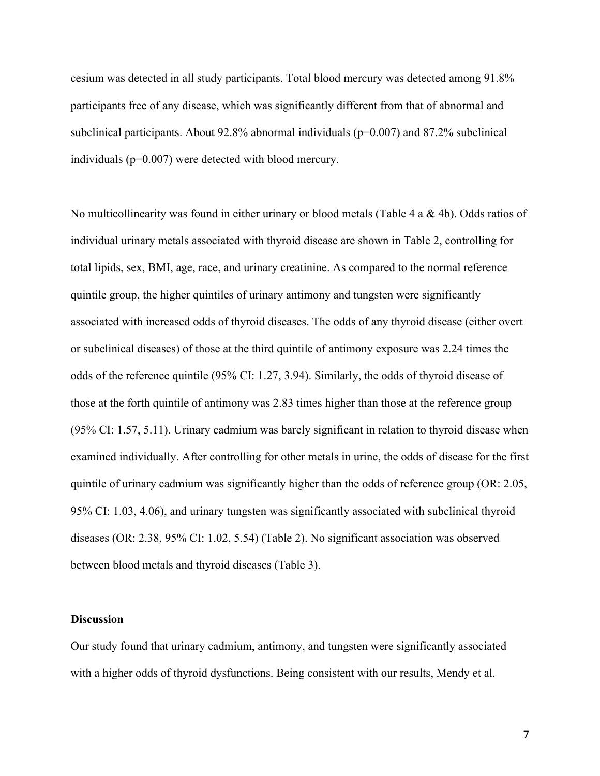cesium was detected in all study participants. Total blood mercury was detected among 91.8% participants free of any disease, which was significantly different from that of abnormal and subclinical participants. About  $92.8\%$  abnormal individuals ( $p=0.007$ ) and  $87.2\%$  subclinical individuals (p=0.007) were detected with blood mercury.

No multicollinearity was found in either urinary or blood metals (Table 4 a & 4b). Odds ratios of individual urinary metals associated with thyroid disease are shown in Table 2, controlling for total lipids, sex, BMI, age, race, and urinary creatinine. As compared to the normal reference quintile group, the higher quintiles of urinary antimony and tungsten were significantly associated with increased odds of thyroid diseases. The odds of any thyroid disease (either overt or subclinical diseases) of those at the third quintile of antimony exposure was 2.24 times the odds of the reference quintile (95% CI: 1.27, 3.94). Similarly, the odds of thyroid disease of those at the forth quintile of antimony was 2.83 times higher than those at the reference group (95% CI: 1.57, 5.11). Urinary cadmium was barely significant in relation to thyroid disease when examined individually. After controlling for other metals in urine, the odds of disease for the first quintile of urinary cadmium was significantly higher than the odds of reference group (OR: 2.05, 95% CI: 1.03, 4.06), and urinary tungsten was significantly associated with subclinical thyroid diseases (OR: 2.38, 95% CI: 1.02, 5.54) (Table 2). No significant association was observed between blood metals and thyroid diseases (Table 3).

### **Discussion**

Our study found that urinary cadmium, antimony, and tungsten were significantly associated with a higher odds of thyroid dysfunctions. Being consistent with our results, Mendy et al.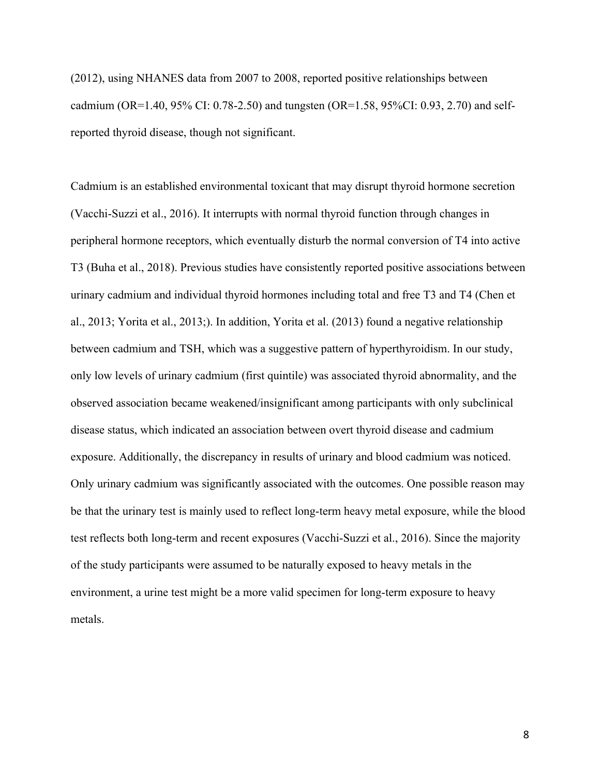(2012), using NHANES data from 2007 to 2008, reported positive relationships between cadmium (OR=1.40, 95% CI: 0.78-2.50) and tungsten (OR=1.58, 95%CI: 0.93, 2.70) and selfreported thyroid disease, though not significant.

Cadmium is an established environmental toxicant that may disrupt thyroid hormone secretion (Vacchi-Suzzi et al., 2016). It interrupts with normal thyroid function through changes in peripheral hormone receptors, which eventually disturb the normal conversion of T4 into active T3 (Buha et al., 2018). Previous studies have consistently reported positive associations between urinary cadmium and individual thyroid hormones including total and free T3 and T4 (Chen et al., 2013; Yorita et al., 2013;). In addition, Yorita et al. (2013) found a negative relationship between cadmium and TSH, which was a suggestive pattern of hyperthyroidism. In our study, only low levels of urinary cadmium (first quintile) was associated thyroid abnormality, and the observed association became weakened/insignificant among participants with only subclinical disease status, which indicated an association between overt thyroid disease and cadmium exposure. Additionally, the discrepancy in results of urinary and blood cadmium was noticed. Only urinary cadmium was significantly associated with the outcomes. One possible reason may be that the urinary test is mainly used to reflect long-term heavy metal exposure, while the blood test reflects both long-term and recent exposures (Vacchi-Suzzi et al., 2016). Since the majority of the study participants were assumed to be naturally exposed to heavy metals in the environment, a urine test might be a more valid specimen for long-term exposure to heavy metals.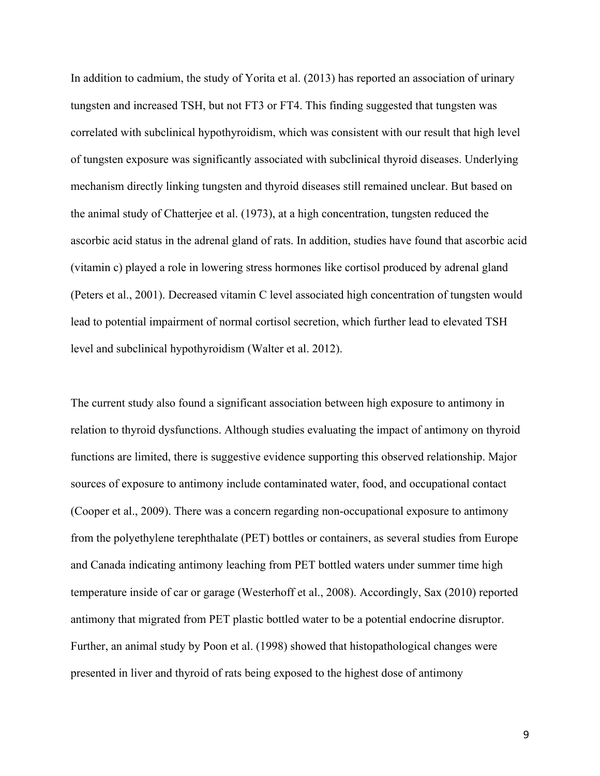In addition to cadmium, the study of Yorita et al. (2013) has reported an association of urinary tungsten and increased TSH, but not FT3 or FT4. This finding suggested that tungsten was correlated with subclinical hypothyroidism, which was consistent with our result that high level of tungsten exposure was significantly associated with subclinical thyroid diseases. Underlying mechanism directly linking tungsten and thyroid diseases still remained unclear. But based on the animal study of Chatterjee et al. (1973), at a high concentration, tungsten reduced the ascorbic acid status in the adrenal gland of rats. In addition, studies have found that ascorbic acid (vitamin c) played a role in lowering stress hormones like cortisol produced by adrenal gland (Peters et al., 2001). Decreased vitamin C level associated high concentration of tungsten would lead to potential impairment of normal cortisol secretion, which further lead to elevated TSH level and subclinical hypothyroidism (Walter et al. 2012).

The current study also found a significant association between high exposure to antimony in relation to thyroid dysfunctions. Although studies evaluating the impact of antimony on thyroid functions are limited, there is suggestive evidence supporting this observed relationship. Major sources of exposure to antimony include contaminated water, food, and occupational contact (Cooper et al., 2009). There was a concern regarding non-occupational exposure to antimony from the polyethylene terephthalate (PET) bottles or containers, as several studies from Europe and Canada indicating antimony leaching from PET bottled waters under summer time high temperature inside of car or garage (Westerhoff et al., 2008). Accordingly, Sax (2010) reported antimony that migrated from PET plastic bottled water to be a potential endocrine disruptor. Further, an animal study by Poon et al. (1998) showed that histopathological changes were presented in liver and thyroid of rats being exposed to the highest dose of antimony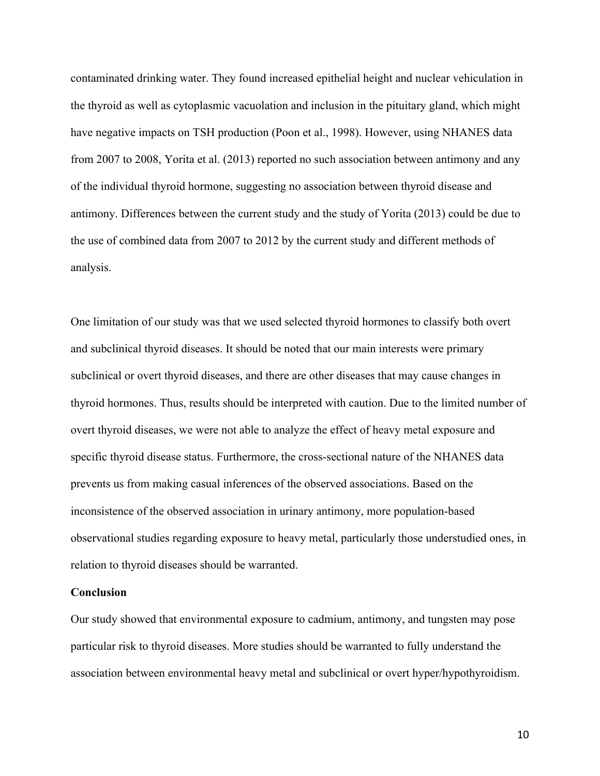contaminated drinking water. They found increased epithelial height and nuclear vehiculation in the thyroid as well as cytoplasmic vacuolation and inclusion in the pituitary gland, which might have negative impacts on TSH production (Poon et al., 1998). However, using NHANES data from 2007 to 2008, Yorita et al. (2013) reported no such association between antimony and any of the individual thyroid hormone, suggesting no association between thyroid disease and antimony. Differences between the current study and the study of Yorita (2013) could be due to the use of combined data from 2007 to 2012 by the current study and different methods of analysis.

One limitation of our study was that we used selected thyroid hormones to classify both overt and subclinical thyroid diseases. It should be noted that our main interests were primary subclinical or overt thyroid diseases, and there are other diseases that may cause changes in thyroid hormones. Thus, results should be interpreted with caution. Due to the limited number of overt thyroid diseases, we were not able to analyze the effect of heavy metal exposure and specific thyroid disease status. Furthermore, the cross-sectional nature of the NHANES data prevents us from making casual inferences of the observed associations. Based on the inconsistence of the observed association in urinary antimony, more population-based observational studies regarding exposure to heavy metal, particularly those understudied ones, in relation to thyroid diseases should be warranted.

### **Conclusion**

Our study showed that environmental exposure to cadmium, antimony, and tungsten may pose particular risk to thyroid diseases. More studies should be warranted to fully understand the association between environmental heavy metal and subclinical or overt hyper/hypothyroidism.

10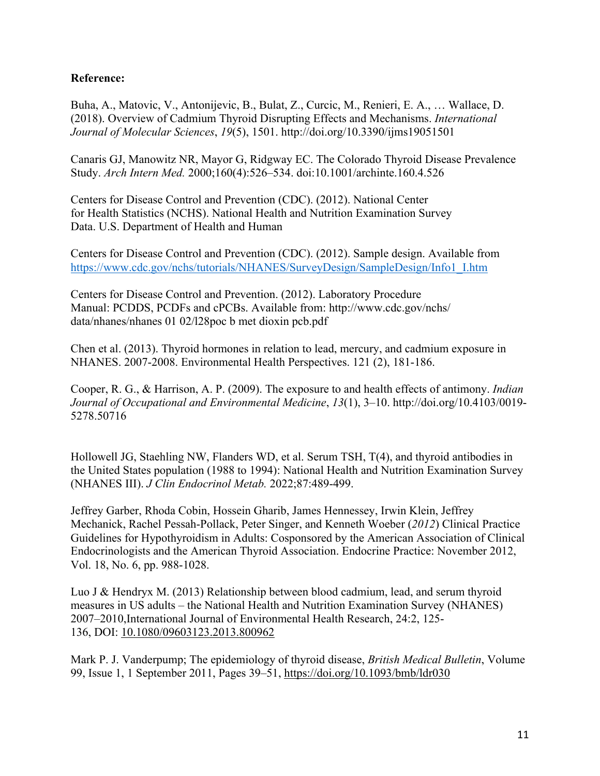### **Reference:**

Buha, A., Matovic, V., Antonijevic, B., Bulat, Z., Curcic, M., Renieri, E. A., … Wallace, D. (2018). Overview of Cadmium Thyroid Disrupting Effects and Mechanisms. *International Journal of Molecular Sciences*, *19*(5), 1501. http://doi.org/10.3390/ijms19051501

Canaris GJ, Manowitz NR, Mayor G, Ridgway EC. The Colorado Thyroid Disease Prevalence Study. *Arch Intern Med.* 2000;160(4):526–534. doi:10.1001/archinte.160.4.526

Centers for Disease Control and Prevention (CDC). (2012). National Center for Health Statistics (NCHS). National Health and Nutrition Examination Survey Data. U.S. Department of Health and Human

Centers for Disease Control and Prevention (CDC). (2012). Sample design. Available from https://www.cdc.gov/nchs/tutorials/NHANES/SurveyDesign/SampleDesign/Info1\_I.htm

Centers for Disease Control and Prevention. (2012). Laboratory Procedure Manual: PCDDS, PCDFs and cPCBs. Available from: http://www.cdc.gov/nchs/ data/nhanes/nhanes 01 02/l28poc b met dioxin pcb.pdf

Chen et al. (2013). Thyroid hormones in relation to lead, mercury, and cadmium exposure in NHANES. 2007-2008. Environmental Health Perspectives. 121 (2), 181-186.

Cooper, R. G., & Harrison, A. P. (2009). The exposure to and health effects of antimony. *Indian Journal of Occupational and Environmental Medicine*, *13*(1), 3–10. http://doi.org/10.4103/0019- 5278.50716

Hollowell JG, Staehling NW, Flanders WD, et al. Serum TSH, T(4), and thyroid antibodies in the United States population (1988 to 1994): National Health and Nutrition Examination Survey (NHANES III). *J Clin Endocrinol Metab.* 2022;87:489-499.

Jeffrey Garber, Rhoda Cobin, Hossein Gharib, James Hennessey, Irwin Klein, Jeffrey Mechanick, Rachel Pessah-Pollack, Peter Singer, and Kenneth Woeber (*2012*) Clinical Practice Guidelines for Hypothyroidism in Adults: Cosponsored by the American Association of Clinical Endocrinologists and the American Thyroid Association. Endocrine Practice: November 2012, Vol. 18, No. 6, pp. 988-1028.

Luo J & Hendryx M. (2013) Relationship between blood cadmium, lead, and serum thyroid measures in US adults – the National Health and Nutrition Examination Survey (NHANES) 2007–2010,International Journal of Environmental Health Research, 24:2, 125- 136, DOI: 10.1080/09603123.2013.800962

Mark P. J. Vanderpump; The epidemiology of thyroid disease, *British Medical Bulletin*, Volume 99, Issue 1, 1 September 2011, Pages 39–51, https://doi.org/10.1093/bmb/ldr030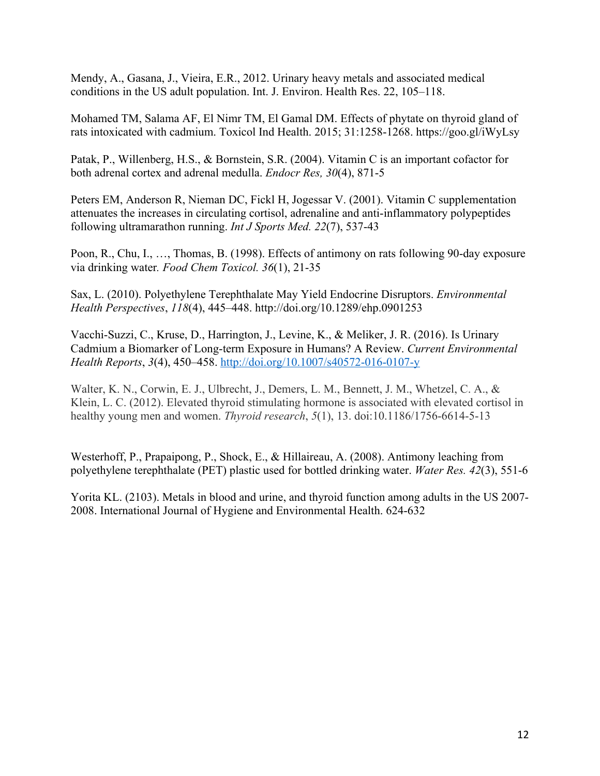Mendy, A., Gasana, J., Vieira, E.R., 2012. Urinary heavy metals and associated medical conditions in the US adult population. Int. J. Environ. Health Res. 22, 105–118.

Mohamed TM, Salama AF, El Nimr TM, El Gamal DM. Effects of phytate on thyroid gland of rats intoxicated with cadmium. Toxicol Ind Health. 2015; 31:1258-1268. https://goo.gl/iWyLsy

Patak, P., Willenberg, H.S., & Bornstein, S.R. (2004). Vitamin C is an important cofactor for both adrenal cortex and adrenal medulla. *Endocr Res, 30*(4), 871-5

Peters EM, Anderson R, Nieman DC, Fickl H, Jogessar V. (2001). Vitamin C supplementation attenuates the increases in circulating cortisol, adrenaline and anti-inflammatory polypeptides following ultramarathon running. *Int J Sports Med. 22*(7), 537-43

Poon, R., Chu, I., …, Thomas, B. (1998). Effects of antimony on rats following 90-day exposure via drinking water*. Food Chem Toxicol. 36*(1), 21-35

Sax, L. (2010). Polyethylene Terephthalate May Yield Endocrine Disruptors. *Environmental Health Perspectives*, *118*(4), 445–448. http://doi.org/10.1289/ehp.0901253

Vacchi-Suzzi, C., Kruse, D., Harrington, J., Levine, K., & Meliker, J. R. (2016). Is Urinary Cadmium a Biomarker of Long-term Exposure in Humans? A Review. *Current Environmental Health Reports*, *3*(4), 450–458. http://doi.org/10.1007/s40572-016-0107-y

Walter, K. N., Corwin, E. J., Ulbrecht, J., Demers, L. M., Bennett, J. M., Whetzel, C. A., & Klein, L. C. (2012). Elevated thyroid stimulating hormone is associated with elevated cortisol in healthy young men and women. *Thyroid research*, *5*(1), 13. doi:10.1186/1756-6614-5-13

Westerhoff, P., Prapaipong, P., Shock, E., & Hillaireau, A. (2008). Antimony leaching from polyethylene terephthalate (PET) plastic used for bottled drinking water. *Water Res. 42*(3), 551-6

Yorita KL. (2103). Metals in blood and urine, and thyroid function among adults in the US 2007- 2008. International Journal of Hygiene and Environmental Health. 624-632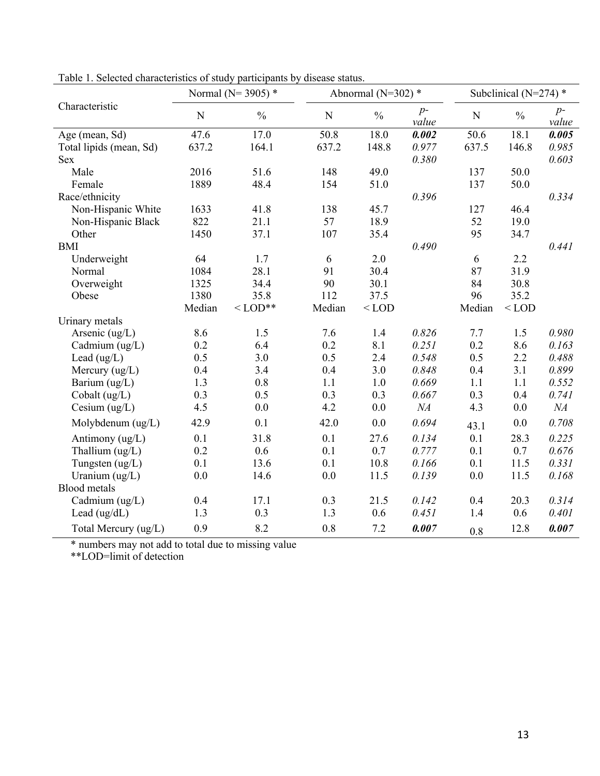|                         |        | Normal ( $N = 3905$ ) * |           | Abnormal ( $N=302$ ) * |               | Subclinical ( $N=274$ ) * |               |               |
|-------------------------|--------|-------------------------|-----------|------------------------|---------------|---------------------------|---------------|---------------|
| Characteristic          | N      | $\frac{0}{0}$           | ${\bf N}$ | $\frac{0}{0}$          | $p-$<br>value | N                         | $\frac{0}{0}$ | $p-$<br>value |
| Age (mean, Sd)          | 47.6   | 17.0                    | 50.8      | 18.0                   | 0.002         | 50.6                      | 18.1          | 0.005         |
| Total lipids (mean, Sd) | 637.2  | 164.1                   | 637.2     | 148.8                  | 0.977         | 637.5                     | 146.8         | 0.985         |
| <b>Sex</b>              |        |                         |           |                        | 0.380         |                           |               | 0.603         |
| Male                    | 2016   | 51.6                    | 148       | 49.0                   |               | 137                       | 50.0          |               |
| Female                  | 1889   | 48.4                    | 154       | 51.0                   |               | 137                       | 50.0          |               |
| Race/ethnicity          |        |                         |           |                        | 0.396         |                           |               | 0.334         |
| Non-Hispanic White      | 1633   | 41.8                    | 138       | 45.7                   |               | 127                       | 46.4          |               |
| Non-Hispanic Black      | 822    | 21.1                    | 57        | 18.9                   |               | 52                        | 19.0          |               |
| Other                   | 1450   | 37.1                    | 107       | 35.4                   |               | 95                        | 34.7          |               |
| <b>BMI</b>              |        |                         |           |                        | 0.490         |                           |               | 0.441         |
| Underweight             | 64     | 1.7                     | 6         | 2.0                    |               | 6                         | 2.2           |               |
| Normal                  | 1084   | 28.1                    | 91        | 30.4                   |               | 87                        | 31.9          |               |
| Overweight              | 1325   | 34.4                    | 90        | 30.1                   |               | 84                        | 30.8          |               |
| Obese                   | 1380   | 35.8                    | 112       | 37.5                   |               | 96                        | 35.2          |               |
|                         | Median | $<$ LOD**               | Median    | $<$ LOD                |               | Median                    | $<$ LOD       |               |
| Urinary metals          |        |                         |           |                        |               |                           |               |               |
| Arsenic $(ug/L)$        | 8.6    | 1.5                     | 7.6       | 1.4                    | 0.826         | 7.7                       | 1.5           | 0.980         |
| Cadmium (ug/L)          | 0.2    | 6.4                     | 0.2       | 8.1                    | 0.251         | 0.2                       | 8.6           | 0.163         |
| Lead $(ug/L)$           | 0.5    | 3.0                     | 0.5       | 2.4                    | 0.548         | 0.5                       | 2.2           | 0.488         |
| Mercury $(ug/L)$        | 0.4    | 3.4                     | 0.4       | 3.0                    | 0.848         | 0.4                       | 3.1           | 0.899         |
| Barium (ug/L)           | 1.3    | 0.8                     | 1.1       | 1.0                    | 0.669         | 1.1                       | 1.1           | 0.552         |
| Cobalt $(ug/L)$         | 0.3    | 0.5                     | 0.3       | 0.3                    | 0.667         | 0.3                       | 0.4           | 0.741         |
| Cesium $(ug/L)$         | 4.5    | 0.0                     | 4.2       | 0.0                    | NA            | 4.3                       | 0.0           | NA            |
| Molybdenum (ug/L)       | 42.9   | 0.1                     | 42.0      | 0.0                    | 0.694         | 43.1                      | 0.0           | 0.708         |
| Antimony (ug/L)         | 0.1    | 31.8                    | 0.1       | 27.6                   | 0.134         | 0.1                       | 28.3          | 0.225         |
| Thallium (ug/L)         | 0.2    | 0.6                     | 0.1       | 0.7                    | 0.777         | 0.1                       | 0.7           | 0.676         |
| Tungsten $(ug/L)$       | 0.1    | 13.6                    | 0.1       | 10.8                   | 0.166         | 0.1                       | 11.5          | 0.331         |
| Uranium $(ug/L)$        | 0.0    | 14.6                    | 0.0       | 11.5                   | 0.139         | 0.0                       | 11.5          | 0.168         |
| <b>Blood</b> metals     |        |                         |           |                        |               |                           |               |               |
| Cadmium (ug/L)          | 0.4    | 17.1                    | 0.3       | 21.5                   | 0.142         | 0.4                       | 20.3          | 0.314         |
| Lead (ug/dL)            | 1.3    | 0.3                     | 1.3       | 0.6                    | 0.451         | 1.4                       | 0.6           | 0.401         |
| Total Mercury (ug/L)    | 0.9    | 8.2                     | 0.8       | 7.2                    | 0.007         | 0.8                       | 12.8          | 0.007         |

Table 1. Selected characteristics of study participants by disease status.

\* numbers may not add to total due to missing value

\*\*LOD=limit of detection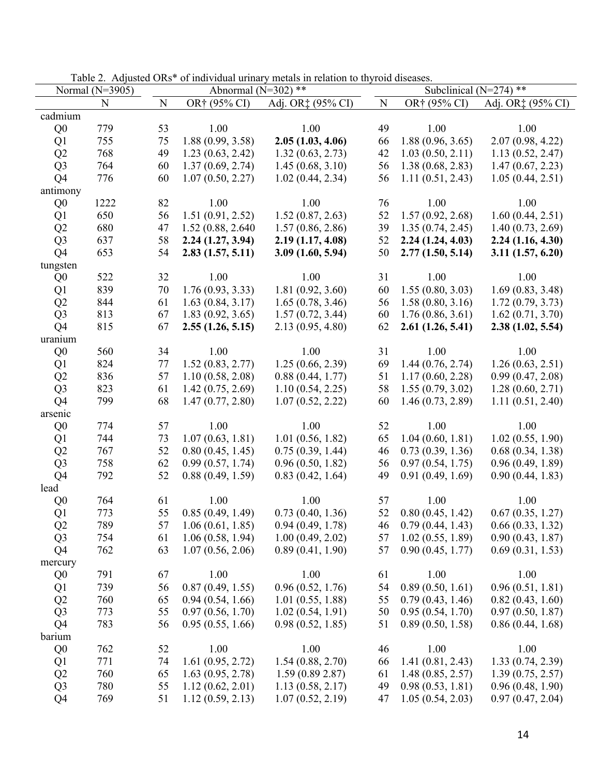|                | Normal $(N=3905)$ |           | Abnormal (N=302) ** |                   |           | Subclinical ( $N=274$ ) ** |                   |  |  |
|----------------|-------------------|-----------|---------------------|-------------------|-----------|----------------------------|-------------------|--|--|
|                | N                 | ${\bf N}$ | OR† (95% CI)        | Adj. OR‡ (95% CI) | ${\bf N}$ | OR† (95% CI)               | Adj. OR‡ (95% CI) |  |  |
| cadmium        |                   |           |                     |                   |           |                            |                   |  |  |
| Q <sub>0</sub> | 779               | 53        | 1.00                | 1.00              | 49        | 1.00                       | 1.00              |  |  |
| Q1             | 755               | 75        | 1.88(0.99, 3.58)    | 2.05(1.03, 4.06)  | 66        | 1.88(0.96, 3.65)           | 2.07(0.98, 4.22)  |  |  |
| Q2             | 768               | 49        | 1.23(0.63, 2.42)    | 1.32(0.63, 2.73)  | 42        | 1.03(0.50, 2.11)           | 1.13(0.52, 2.47)  |  |  |
| Q <sub>3</sub> | 764               | 60        | 1.37(0.69, 2.74)    | 1.45(0.68, 3.10)  | 56        | 1.38(0.68, 2.83)           | 1.47(0.67, 2.23)  |  |  |
| Q4             | 776               | 60        | 1.07(0.50, 2.27)    | 1.02(0.44, 2.34)  | 56        | 1.11(0.51, 2.43)           | 1.05(0.44, 2.51)  |  |  |
| antimony       |                   |           |                     |                   |           |                            |                   |  |  |
| Q <sub>0</sub> | 1222              | 82        | 1.00                | 1.00              | 76        | 1.00                       | 1.00              |  |  |
| Q1             | 650               | 56        | 1.51(0.91, 2.52)    | 1.52(0.87, 2.63)  | 52        | 1.57(0.92, 2.68)           | 1.60(0.44, 2.51)  |  |  |
| Q2             | 680               | 47        | 1.52 (0.88, 2.640)  | 1.57(0.86, 2.86)  | 39        | 1.35(0.74, 2.45)           | 1.40(0.73, 2.69)  |  |  |
| Q <sub>3</sub> | 637               | 58        | 2.24(1.27, 3.94)    | 2.19(1.17, 4.08)  | 52        | 2.24(1.24, 4.03)           | 2.24(1.16, 4.30)  |  |  |
| Q <sub>4</sub> | 653               | 54        | 2.83(1.57, 5.11)    | 3.09(1.60, 5.94)  | 50        | 2.77(1.50, 5.14)           | 3.11(1.57, 6.20)  |  |  |
| tungsten       |                   |           |                     |                   |           |                            |                   |  |  |
| Q <sub>0</sub> | 522               | 32        | 1.00                | 1.00              | 31        | 1.00                       | 1.00              |  |  |
| Q1             | 839               | 70        | 1.76(0.93, 3.33)    | 1.81(0.92, 3.60)  | 60        | 1.55(0.80, 3.03)           | 1.69(0.83, 3.48)  |  |  |
| Q2             | 844               | 61        | 1.63(0.84, 3.17)    | 1.65(0.78, 3.46)  | 56        | 1.58(0.80, 3.16)           | 1.72(0.79, 3.73)  |  |  |
| Q <sub>3</sub> | 813               | 67        | 1.83(0.92, 3.65)    | 1.57(0.72, 3.44)  | 60        | 1.76(0.86, 3.61)           | 1.62(0.71, 3.70)  |  |  |
| Q <sub>4</sub> | 815               | 67        | 2.55(1.26, 5.15)    | 2.13(0.95, 4.80)  | 62        | 2.61(1.26, 5.41)           | 2.38(1.02, 5.54)  |  |  |
| uranium        |                   |           |                     |                   |           |                            |                   |  |  |
| Q <sub>0</sub> | 560               | 34        | 1.00                | 1.00              | 31        | 1.00                       | 1.00              |  |  |
| Q1             | 824               | 77        | 1.52(0.83, 2.77)    | 1.25(0.66, 2.39)  | 69        | 1.44(0.76, 2.74)           | 1.26(0.63, 2.51)  |  |  |
| Q2             | 836               | 57        | 1.10(0.58, 2.08)    | 0.88(0.44, 1.77)  | 51        | 1.17(0.60, 2.28)           | 0.99(0.47, 2.08)  |  |  |
| Q <sub>3</sub> | 823               | 61        | 1.42(0.75, 2.69)    | 1.10(0.54, 2.25)  | 58        | 1.55(0.79, 3.02)           | 1.28(0.60, 2.71)  |  |  |
| Q4             | 799               | 68        | 1.47(0.77, 2.80)    | 1.07(0.52, 2.22)  | 60        | 1.46(0.73, 2.89)           | 1.11(0.51, 2.40)  |  |  |
| arsenic        |                   |           |                     |                   |           |                            |                   |  |  |
| Q <sub>0</sub> | 774               | 57        | 1.00                | 1.00              | 52        | 1.00                       | 1.00              |  |  |
| Q1             | 744               | 73        | 1.07(0.63, 1.81)    | 1.01(0.56, 1.82)  | 65        | 1.04(0.60, 1.81)           | 1.02(0.55, 1.90)  |  |  |
| Q2             | 767               | 52        | 0.80(0.45, 1.45)    | 0.75(0.39, 1.44)  | 46        | 0.73(0.39, 1.36)           | 0.68(0.34, 1.38)  |  |  |
| Q <sub>3</sub> | 758               | 62        | 0.99(0.57, 1.74)    | 0.96(0.50, 1.82)  | 56        | 0.97(0.54, 1.75)           | 0.96(0.49, 1.89)  |  |  |
| Q <sub>4</sub> | 792               | 52        | 0.88(0.49, 1.59)    | 0.83(0.42, 1.64)  | 49        | 0.91(0.49, 1.69)           | 0.90(0.44, 1.83)  |  |  |
| lead           |                   |           |                     |                   |           |                            |                   |  |  |
| Q <sub>0</sub> | 764               | 61        | 1.00                | 1.00              | 57        | 1.00                       | 1.00              |  |  |
| Q1             | 773               | 55        | 0.85(0.49, 1.49)    | 0.73(0.40, 1.36)  | 52        | 0.80(0.45, 1.42)           | 0.67(0.35, 1.27)  |  |  |
| Q2             | 789               | 57        | 1.06(0.61, 1.85)    | 0.94(0.49, 1.78)  | 46        | 0.79(0.44, 1.43)           | 0.66(0.33, 1.32)  |  |  |
| Q <sub>3</sub> | 754               | 61        | 1.06(0.58, 1.94)    | 1.00(0.49, 2.02)  | 57        | 1.02(0.55, 1.89)           | 0.90(0.43, 1.87)  |  |  |
| Q4             | 762               | 63        | 1.07(0.56, 2.06)    | 0.89(0.41, 1.90)  | 57        | 0.90(0.45, 1.77)           | 0.69(0.31, 1.53)  |  |  |
| mercury        |                   |           |                     |                   |           |                            |                   |  |  |
| Q <sub>0</sub> | 791               | 67        | 1.00                | 1.00              | 61        | 1.00                       | 1.00              |  |  |
| Q1             | 739               | 56        | 0.87(0.49, 1.55)    | 0.96(0.52, 1.76)  | 54        | 0.89(0.50, 1.61)           | 0.96(0.51, 1.81)  |  |  |
| Q2             | 760               | 65        | 0.94(0.54, 1.66)    | 1.01(0.55, 1.88)  | 55        | 0.79(0.43, 1.46)           | 0.82(0.43, 1.60)  |  |  |
| Q <sub>3</sub> | 773               | 55        | 0.97(0.56, 1.70)    | 1.02(0.54, 1.91)  | 50        | 0.95(0.54, 1.70)           | 0.97(0.50, 1.87)  |  |  |
| Q4             | 783               | 56        | 0.95(0.55, 1.66)    | 0.98(0.52, 1.85)  | 51        | 0.89(0.50, 1.58)           | 0.86(0.44, 1.68)  |  |  |
| barium         |                   |           |                     |                   |           |                            |                   |  |  |
| Q <sub>0</sub> | 762               | 52        | 1.00                | 1.00              | 46        | 1.00                       | 1.00              |  |  |
| Q1             | 771               | 74        | 1.61(0.95, 2.72)    | 1.54(0.88, 2.70)  | 66        | 1.41(0.81, 2.43)           | 1.33(0.74, 2.39)  |  |  |
| Q2             | 760               | 65        | 1.63(0.95, 2.78)    | 1.59(0.892.87)    | 61        | 1.48(0.85, 2.57)           | 1.39(0.75, 2.57)  |  |  |
| Q <sub>3</sub> | 780               | 55        | 1.12(0.62, 2.01)    | 1.13(0.58, 2.17)  | 49        | 0.98(0.53, 1.81)           | 0.96(0.48, 1.90)  |  |  |
| Q <sub>4</sub> | 769               | 51        | 1.12(0.59, 2.13)    | 1.07(0.52, 2.19)  | 47        | 1.05(0.54, 2.03)           | 0.97(0.47, 2.04)  |  |  |

|  |  |  | Table 2. Adjusted ORs* of individual urinary metals in relation to thyroid diseases. |
|--|--|--|--------------------------------------------------------------------------------------|
|  |  |  |                                                                                      |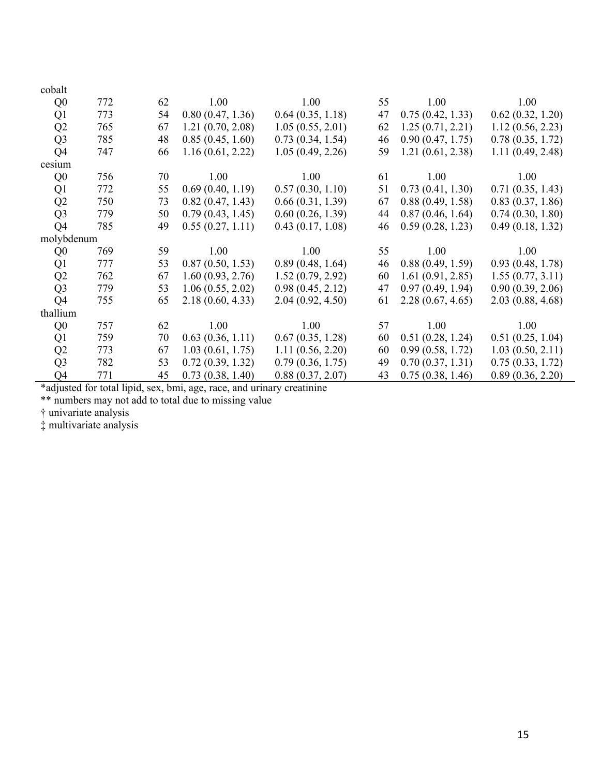| cobalt         |     |    |                  |                  |    |                  |                  |
|----------------|-----|----|------------------|------------------|----|------------------|------------------|
| Q <sub>0</sub> | 772 | 62 | 1.00             | 1.00             | 55 | 1.00             | 1.00             |
| Q1             | 773 | 54 | 0.80(0.47, 1.36) | 0.64(0.35, 1.18) | 47 | 0.75(0.42, 1.33) | 0.62(0.32, 1.20) |
| Q2             | 765 | 67 | 1.21(0.70, 2.08) | 1.05(0.55, 2.01) | 62 | 1.25(0.71, 2.21) | 1.12(0.56, 2.23) |
| Q <sub>3</sub> | 785 | 48 | 0.85(0.45, 1.60) | 0.73(0.34, 1.54) | 46 | 0.90(0.47, 1.75) | 0.78(0.35, 1.72) |
| Q4             | 747 | 66 | 1.16(0.61, 2.22) | 1.05(0.49, 2.26) | 59 | 1.21(0.61, 2.38) | 1.11(0.49, 2.48) |
| cesium         |     |    |                  |                  |    |                  |                  |
| Q <sub>0</sub> | 756 | 70 | 1.00             | 1.00             | 61 | 1.00             | 1.00             |
| Q1             | 772 | 55 | 0.69(0.40, 1.19) | 0.57(0.30, 1.10) | 51 | 0.73(0.41, 1.30) | 0.71(0.35, 1.43) |
| Q2             | 750 | 73 | 0.82(0.47, 1.43) | 0.66(0.31, 1.39) | 67 | 0.88(0.49, 1.58) | 0.83(0.37, 1.86) |
| Q <sub>3</sub> | 779 | 50 | 0.79(0.43, 1.45) | 0.60(0.26, 1.39) | 44 | 0.87(0.46, 1.64) | 0.74(0.30, 1.80) |
| Q4             | 785 | 49 | 0.55(0.27, 1.11) | 0.43(0.17, 1.08) | 46 | 0.59(0.28, 1.23) | 0.49(0.18, 1.32) |
| molybdenum     |     |    |                  |                  |    |                  |                  |
| Q <sub>0</sub> | 769 | 59 | 1.00             | 1.00             | 55 | 1.00             | 1.00             |
| Q <sub>1</sub> | 777 | 53 | 0.87(0.50, 1.53) | 0.89(0.48, 1.64) | 46 | 0.88(0.49, 1.59) | 0.93(0.48, 1.78) |
| Q2             | 762 | 67 | 1.60(0.93, 2.76) | 1.52(0.79, 2.92) | 60 | 1.61(0.91, 2.85) | 1.55(0.77, 3.11) |
| Q <sub>3</sub> | 779 | 53 | 1.06(0.55, 2.02) | 0.98(0.45, 2.12) | 47 | 0.97(0.49, 1.94) | 0.90(0.39, 2.06) |
| Q <sub>4</sub> | 755 | 65 | 2.18(0.60, 4.33) | 2.04(0.92, 4.50) | 61 | 2.28(0.67, 4.65) | 2.03(0.88, 4.68) |
| thallium       |     |    |                  |                  |    |                  |                  |
| Q <sub>0</sub> | 757 | 62 | 1.00             | 1.00             | 57 | 1.00             | 1.00             |
| Q <sub>1</sub> | 759 | 70 | 0.63(0.36, 1.11) | 0.67(0.35, 1.28) | 60 | 0.51(0.28, 1.24) | 0.51(0.25, 1.04) |
| Q2             | 773 | 67 | 1.03(0.61, 1.75) | 1.11(0.56, 2.20) | 60 | 0.99(0.58, 1.72) | 1.03(0.50, 2.11) |
| Q <sub>3</sub> | 782 | 53 | 0.72(0.39, 1.32) | 0.79(0.36, 1.75) | 49 | 0.70(0.37, 1.31) | 0.75(0.33, 1.72) |
| Q4             | 771 | 45 | 0.73(0.38, 1.40) | 0.88(0.37, 2.07) | 43 | 0.75(0.38, 1.46) | 0.89(0.36, 2.20) |

\*adjusted for total lipid, sex, bmi, age, race, and urinary creatinine

\*\* numbers may not add to total due to missing value

† univariate analysis

‡ multivariate analysis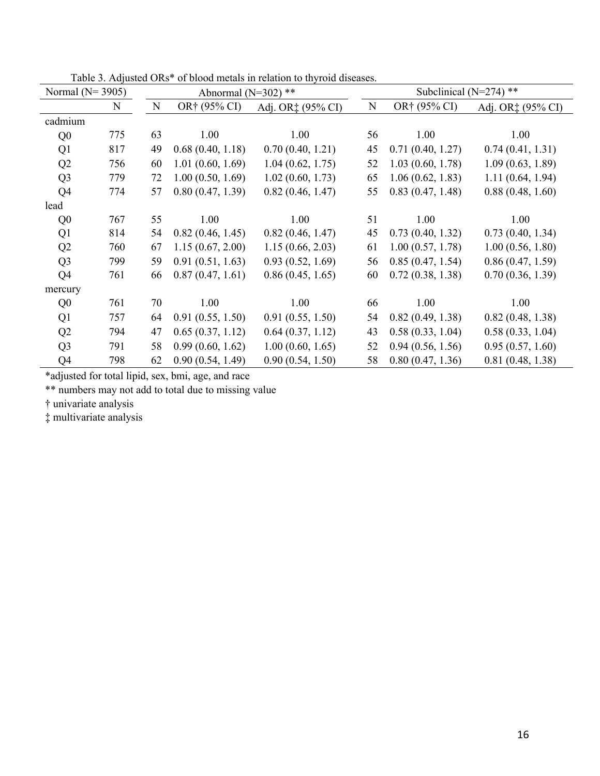| Normal ( $N=3905$ ) |             |    | Abnormal ( $N=302$ ) ** |                   |    | Subclinical ( $N=274$ ) ** |                   |
|---------------------|-------------|----|-------------------------|-------------------|----|----------------------------|-------------------|
|                     | $\mathbf N$ | N  | OR† (95% CI)            | Adj. OR‡ (95% CI) | N  | OR† (95% CI)               | Adj. OR‡ (95% CI) |
| cadmium             |             |    |                         |                   |    |                            |                   |
| Q <sub>0</sub>      | 775         | 63 | 1.00                    | 1.00              | 56 | 1.00                       | 1.00              |
| Q1                  | 817         | 49 | 0.68(0.40, 1.18)        | 0.70(0.40, 1.21)  | 45 | 0.71(0.40, 1.27)           | 0.74(0.41, 1.31)  |
| Q2                  | 756         | 60 | 1.01(0.60, 1.69)        | 1.04(0.62, 1.75)  | 52 | 1.03(0.60, 1.78)           | 1.09(0.63, 1.89)  |
| Q <sub>3</sub>      | 779         | 72 | 1.00(0.50, 1.69)        | 1.02(0.60, 1.73)  | 65 | 1.06(0.62, 1.83)           | 1.11(0.64, 1.94)  |
| Q4                  | 774         | 57 | 0.80(0.47, 1.39)        | 0.82(0.46, 1.47)  | 55 | 0.83(0.47, 1.48)           | 0.88(0.48, 1.60)  |
| lead                |             |    |                         |                   |    |                            |                   |
| Q <sub>0</sub>      | 767         | 55 | 1.00                    | 1.00              | 51 | 1.00                       | 1.00              |
| Q1                  | 814         | 54 | 0.82(0.46, 1.45)        | 0.82(0.46, 1.47)  | 45 | 0.73(0.40, 1.32)           | 0.73(0.40, 1.34)  |
| Q2                  | 760         | 67 | 1.15(0.67, 2.00)        | 1.15(0.66, 2.03)  | 61 | 1.00(0.57, 1.78)           | 1.00(0.56, 1.80)  |
| Q <sub>3</sub>      | 799         | 59 | 0.91(0.51, 1.63)        | 0.93(0.52, 1.69)  | 56 | 0.85(0.47, 1.54)           | 0.86(0.47, 1.59)  |
| Q <sub>4</sub>      | 761         | 66 | 0.87(0.47, 1.61)        | 0.86(0.45, 1.65)  | 60 | 0.72(0.38, 1.38)           | 0.70(0.36, 1.39)  |
| mercury             |             |    |                         |                   |    |                            |                   |
| Q <sub>0</sub>      | 761         | 70 | 1.00                    | 1.00              | 66 | 1.00                       | 1.00              |
| Q <sub>1</sub>      | 757         | 64 | 0.91(0.55, 1.50)        | 0.91(0.55, 1.50)  | 54 | 0.82(0.49, 1.38)           | 0.82(0.48, 1.38)  |
| Q2                  | 794         | 47 | 0.65(0.37, 1.12)        | 0.64(0.37, 1.12)  | 43 | 0.58(0.33, 1.04)           | 0.58(0.33, 1.04)  |
| Q <sub>3</sub>      | 791         | 58 | 0.99(0.60, 1.62)        | 1.00(0.60, 1.65)  | 52 | 0.94(0.56, 1.56)           | 0.95(0.57, 1.60)  |
| Q <sub>4</sub>      | 798         | 62 | 0.90(0.54, 1.49)        | 0.90(0.54, 1.50)  | 58 | 0.80(0.47, 1.36)           | 0.81(0.48, 1.38)  |

Table 3. Adjusted ORs\* of blood metals in relation to thyroid diseases.

\*adjusted for total lipid, sex, bmi, age, and race

\*\* numbers may not add to total due to missing value

† univariate analysis

‡ multivariate analysis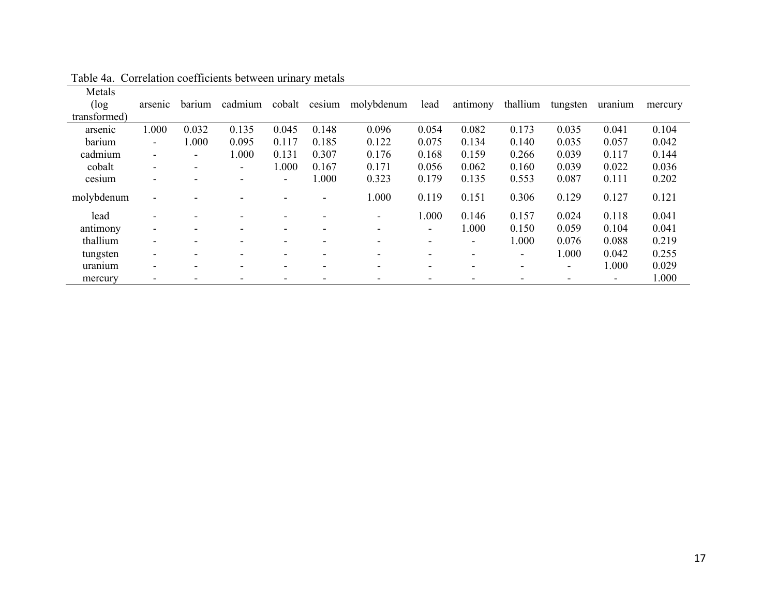| Metals       |                              |                          |                          |                          |               |                          |                          |                          |                          |                              |         |         |
|--------------|------------------------------|--------------------------|--------------------------|--------------------------|---------------|--------------------------|--------------------------|--------------------------|--------------------------|------------------------------|---------|---------|
| $(\log$      | arsenic                      | barium                   | cadmium                  |                          | cobalt cesium | molybdenum               | lead                     | antimony                 | thallium                 | tungsten                     | uranium | mercury |
| transformed) |                              |                          |                          |                          |               |                          |                          |                          |                          |                              |         |         |
| arsenic      | 1.000                        | 0.032                    | 0.135                    | 0.045                    | 0.148         | 0.096                    | 0.054                    | 0.082                    | 0.173                    | 0.035                        | 0.041   | 0.104   |
| barium       | -                            | 1.000                    | 0.095                    | 0.117                    | 0.185         | 0.122                    | 0.075                    | 0.134                    | 0.140                    | 0.035                        | 0.057   | 0.042   |
| cadmium      | $\overline{\phantom{a}}$     | $\blacksquare$           | 1.000                    | 0.131                    | 0.307         | 0.176                    | 0.168                    | 0.159                    | 0.266                    | 0.039                        | 0.117   | 0.144   |
| cobalt       | $\overline{\phantom{a}}$     | $\overline{\phantom{0}}$ | $\overline{\phantom{a}}$ | 1.000                    | 0.167         | 0.171                    | 0.056                    | 0.062                    | 0.160                    | 0.039                        | 0.022   | 0.036   |
| cesium       | $\overline{\phantom{0}}$     |                          |                          | $\overline{\phantom{0}}$ | 1.000         | 0.323                    | 0.179                    | 0.135                    | 0.553                    | 0.087                        | 0.111   | 0.202   |
| molybdenum   | $\blacksquare$               |                          |                          |                          |               | 1.000                    | 0.119                    | 0.151                    | 0.306                    | 0.129                        | 0.127   | 0.121   |
| lead         | $\overline{\phantom{0}}$     |                          |                          |                          |               | $\overline{\phantom{a}}$ | 1.000                    | 0.146                    | 0.157                    | 0.024                        | 0.118   | 0.041   |
| antimony     | $\overline{\phantom{a}}$     |                          |                          |                          |               |                          | $\blacksquare$           | 1.000                    | 0.150                    | 0.059                        | 0.104   | 0.041   |
| thallium     | $\overline{\phantom{a}}$     | $\overline{\phantom{a}}$ |                          |                          |               | $\overline{\phantom{a}}$ | $\overline{\phantom{a}}$ | $\overline{\phantom{a}}$ | 1.000                    | 0.076                        | 0.088   | 0.219   |
| tungsten     | $\overline{\phantom{a}}$     |                          |                          |                          |               | $\overline{\phantom{a}}$ | $\overline{\phantom{0}}$ | $\overline{\phantom{0}}$ | $\overline{\phantom{a}}$ | 1.000                        | 0.042   | 0.255   |
| uranium      | $\qquad \qquad \blacksquare$ |                          |                          |                          |               | $\qquad \qquad$          | $\qquad \qquad$          |                          | $\overline{\phantom{a}}$ | $\qquad \qquad \blacksquare$ | 1.000   | 0.029   |
| mercury      | -                            |                          |                          |                          |               |                          | $\overline{\phantom{0}}$ |                          |                          |                              |         | 1.000   |

Table 4a. Correlation coefficients between urinary metals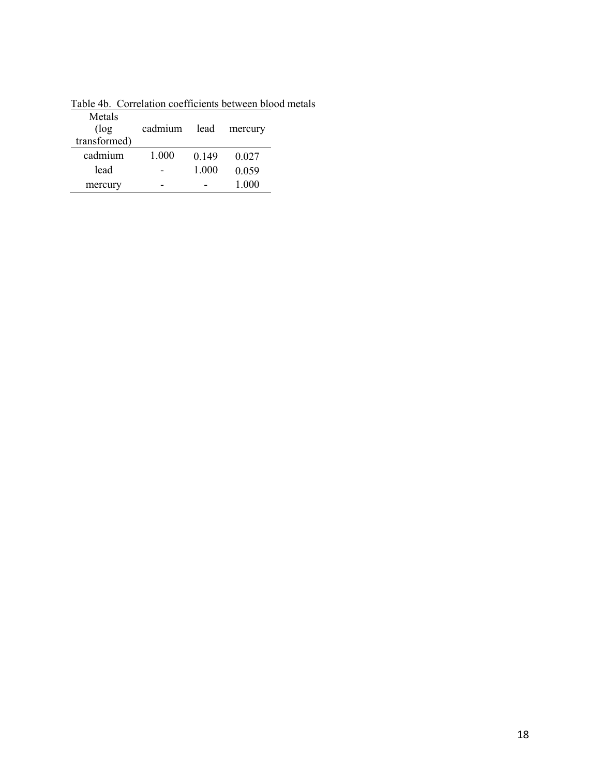| Metals<br>$(\log$<br>transformed) | cadmium | lead  | mercury |
|-----------------------------------|---------|-------|---------|
| cadmium                           | 1.000   | 0.149 | 0.027   |
| lead                              |         | 1.000 | 0.059   |
| mercury                           |         |       | 1.000   |

Table 4b. Correlation coefficients between blood metals